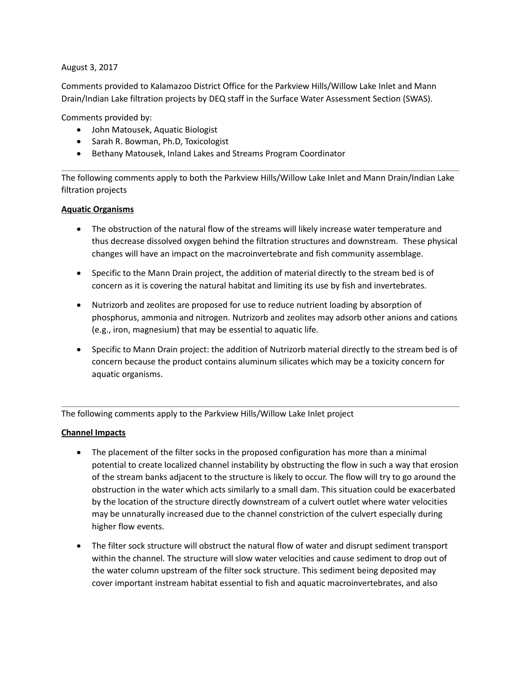August 3, 2017

Comments provided to Kalamazoo District Office for the Parkview Hills/Willow Lake Inlet and Mann Drain/Indian Lake filtration projects by DEQ staff in the Surface Water Assessment Section (SWAS).

Comments provided by:

- John Matousek, Aquatic Biologist
- Sarah R. Bowman, Ph.D, Toxicologist
- Bethany Matousek, Inland Lakes and Streams Program Coordinator

The following comments apply to both the Parkview Hills/Willow Lake Inlet and Mann Drain/Indian Lake filtration projects

## **Aquatic Organisms**

- The obstruction of the natural flow of the streams will likely increase water temperature and thus decrease dissolved oxygen behind the filtration structures and downstream. These physical changes will have an impact on the macroinvertebrate and fish community assemblage.
- Specific to the Mann Drain project, the addition of material directly to the stream bed is of concern as it is covering the natural habitat and limiting its use by fish and invertebrates.
- Nutrizorb and zeolites are proposed for use to reduce nutrient loading by absorption of phosphorus, ammonia and nitrogen. Nutrizorb and zeolites may adsorb other anions and cations (e.g., iron, magnesium) that may be essential to aquatic life.
- Specific to Mann Drain project: the addition of Nutrizorb material directly to the stream bed is of concern because the product contains aluminum silicates which may be a toxicity concern for aquatic organisms.

The following comments apply to the Parkview Hills/Willow Lake Inlet project

### **Channel Impacts**

- The placement of the filter socks in the proposed configuration has more than a minimal potential to create localized channel instability by obstructing the flow in such a way that erosion of the stream banks adjacent to the structure is likely to occur. The flow will try to go around the obstruction in the water which acts similarly to a small dam. This situation could be exacerbated by the location of the structure directly downstream of a culvert outlet where water velocities may be unnaturally increased due to the channel constriction of the culvert especially during higher flow events.
- The filter sock structure will obstruct the natural flow of water and disrupt sediment transport within the channel. The structure will slow water velocities and cause sediment to drop out of the water column upstream of the filter sock structure. This sediment being deposited may cover important instream habitat essential to fish and aquatic macroinvertebrates, and also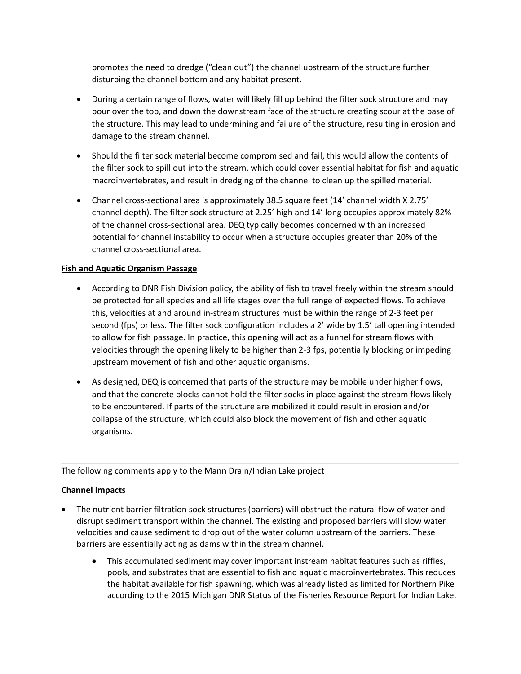promotes the need to dredge ("clean out") the channel upstream of the structure further disturbing the channel bottom and any habitat present.

- During a certain range of flows, water will likely fill up behind the filter sock structure and may pour over the top, and down the downstream face of the structure creating scour at the base of the structure. This may lead to undermining and failure of the structure, resulting in erosion and damage to the stream channel.
- Should the filter sock material become compromised and fail, this would allow the contents of the filter sock to spill out into the stream, which could cover essential habitat for fish and aquatic macroinvertebrates, and result in dredging of the channel to clean up the spilled material.
- Channel cross-sectional area is approximately 38.5 square feet (14' channel width X 2.75' channel depth). The filter sock structure at 2.25' high and 14' long occupies approximately 82% of the channel cross-sectional area. DEQ typically becomes concerned with an increased potential for channel instability to occur when a structure occupies greater than 20% of the channel cross-sectional area.

## **Fish and Aquatic Organism Passage**

- According to DNR Fish Division policy, the ability of fish to travel freely within the stream should be protected for all species and all life stages over the full range of expected flows. To achieve this, velocities at and around in-stream structures must be within the range of 2-3 feet per second (fps) or less. The filter sock configuration includes a 2' wide by 1.5' tall opening intended to allow for fish passage. In practice, this opening will act as a funnel for stream flows with velocities through the opening likely to be higher than 2-3 fps, potentially blocking or impeding upstream movement of fish and other aquatic organisms.
- As designed, DEQ is concerned that parts of the structure may be mobile under higher flows, and that the concrete blocks cannot hold the filter socks in place against the stream flows likely to be encountered. If parts of the structure are mobilized it could result in erosion and/or collapse of the structure, which could also block the movement of fish and other aquatic organisms.

The following comments apply to the Mann Drain/Indian Lake project

# **Channel Impacts**

- The nutrient barrier filtration sock structures (barriers) will obstruct the natural flow of water and disrupt sediment transport within the channel. The existing and proposed barriers will slow water velocities and cause sediment to drop out of the water column upstream of the barriers. These barriers are essentially acting as dams within the stream channel.
	- This accumulated sediment may cover important instream habitat features such as riffles, pools, and substrates that are essential to fish and aquatic macroinvertebrates. This reduces the habitat available for fish spawning, which was already listed as limited for Northern Pike according to the 2015 Michigan DNR Status of the Fisheries Resource Report for Indian Lake.